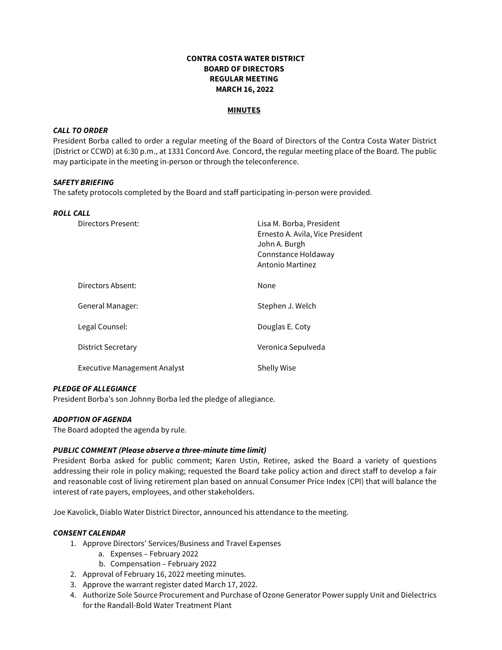# **CONTRA COSTA WATER DISTRICT BOARD OF DIRECTORS REGULAR MEETING MARCH 16, 2022**

#### **MINUTES**

# *CALL TO ORDER*

President Borba called to order a regular meeting of the Board of Directors of the Contra Costa Water District (District or CCWD) at 6:30 p.m., at 1331 Concord Ave. Concord, the regular meeting place of the Board. The public may participate in the meeting in-person or through the teleconference.

#### *SAFETY BRIEFING*

The safety protocols completed by the Board and staff participating in-person were provided.

# *ROLL CALL*

| Directors Present:           | Lisa M. Borba, President<br>Ernesto A. Avila, Vice President<br>John A. Burgh<br>Connstance Holdaway<br>Antonio Martinez |
|------------------------------|--------------------------------------------------------------------------------------------------------------------------|
| Directors Absent:            | None                                                                                                                     |
| General Manager:             | Stephen J. Welch                                                                                                         |
| Legal Counsel:               | Douglas E. Coty                                                                                                          |
| District Secretary           | Veronica Sepulveda                                                                                                       |
| Executive Management Analyst | <b>Shelly Wise</b>                                                                                                       |

## *PLEDGE OF ALLEGIANCE*

President Borba's son Johnny Borba led the pledge of allegiance.

## *ADOPTION OF AGENDA*

The Board adopted the agenda by rule.

## *PUBLIC COMMENT (Please observe a three-minute time limit)*

President Borba asked for public comment; Karen Ustin, Retiree, asked the Board a variety of questions addressing their role in policy making; requested the Board take policy action and direct staff to develop a fair and reasonable cost of living retirement plan based on annual Consumer Price Index (CPI) that will balance the interest of rate payers, employees, and other stakeholders.

Joe Kavolick, Diablo Water District Director, announced his attendance to the meeting.

## *CONSENT CALENDAR*

- 1. Approve Directors' Services/Business and Travel Expenses
	- a. Expenses February 2022
	- b. Compensation February 2022
- 2. Approval of February 16, 2022 meeting minutes.
- 3. Approve the warrant register dated March 17, 2022.
- 4. Authorize Sole Source Procurement and Purchase of Ozone Generator Power supply Unit and Dielectrics for the Randall-Bold Water Treatment Plant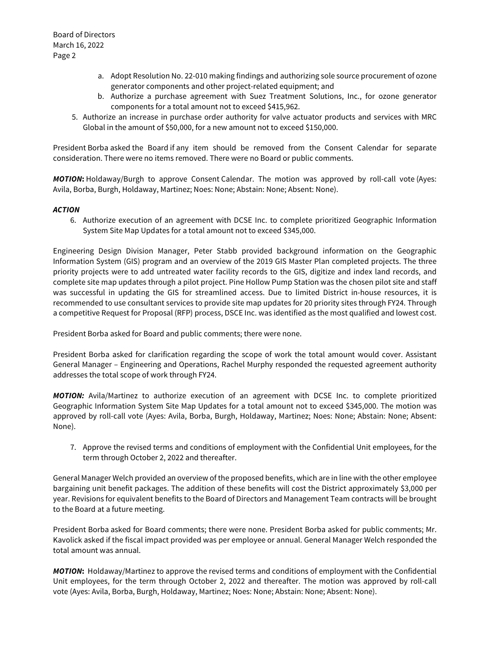- a. Adopt Resolution No. 22-010 making findings and authorizing sole source procurement of ozone generator components and other project-related equipment; and
- b. Authorize a purchase agreement with Suez Treatment Solutions, Inc., for ozone generator components for a total amount not to exceed \$415,962.
- 5. Authorize an increase in purchase order authority for valve actuator products and services with MRC Global in the amount of \$50,000, for a new amount not to exceed \$150,000.

President Borba asked the Board if any item should be removed from the Consent Calendar for separate consideration. There were no items removed. There were no Board or public comments.

*MOTION***:** Holdaway/Burgh to approve Consent Calendar. The motion was approved by roll-call vote (Ayes: Avila, Borba, Burgh, Holdaway, Martinez; Noes: None; Abstain: None; Absent: None).

# *ACTION*

6. Authorize execution of an agreement with DCSE Inc. to complete prioritized Geographic Information System Site Map Updates for a total amount not to exceed \$345,000.

Engineering Design Division Manager, Peter Stabb provided background information on the Geographic Information System (GIS) program and an overview of the 2019 GIS Master Plan completed projects. The three priority projects were to add untreated water facility records to the GIS, digitize and index land records, and complete site map updates through a pilot project. Pine Hollow Pump Station was the chosen pilot site and staff was successful in updating the GIS for streamlined access. Due to limited District in-house resources, it is recommended to use consultant services to provide site map updates for 20 priority sites through FY24. Through a competitive Request for Proposal (RFP) process, DSCE Inc. was identified as the most qualified and lowest cost.

President Borba asked for Board and public comments; there were none.

President Borba asked for clarification regarding the scope of work the total amount would cover. Assistant General Manager – Engineering and Operations, Rachel Murphy responded the requested agreement authority addresses the total scope of work through FY24.

*MOTION:* Avila/Martinez to authorize execution of an agreement with DCSE Inc. to complete prioritized Geographic Information System Site Map Updates for a total amount not to exceed \$345,000. The motion was approved by roll-call vote (Ayes: Avila, Borba, Burgh, Holdaway, Martinez; Noes: None; Abstain: None; Absent: None).

7. Approve the revised terms and conditions of employment with the Confidential Unit employees, for the term through October 2, 2022 and thereafter.

General Manager Welch provided an overview of the proposed benefits, which are in line with the other employee bargaining unit benefit packages. The addition of these benefits will cost the District approximately \$3,000 per year. Revisions for equivalent benefits to the Board of Directors and Management Team contracts will be brought to the Board at a future meeting.

President Borba asked for Board comments; there were none. President Borba asked for public comments; Mr. Kavolick asked if the fiscal impact provided was per employee or annual. General Manager Welch responded the total amount was annual.

*MOTION***:** Holdaway/Martinez to approve the revised terms and conditions of employment with the Confidential Unit employees, for the term through October 2, 2022 and thereafter. The motion was approved by roll-call vote (Ayes: Avila, Borba, Burgh, Holdaway, Martinez; Noes: None; Abstain: None; Absent: None).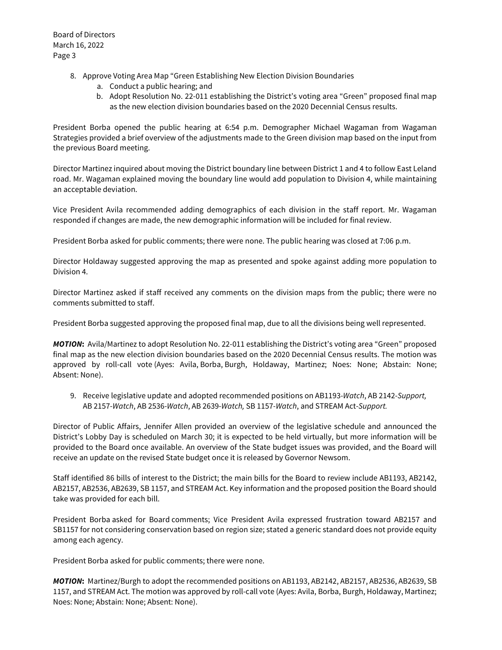- 8. Approve Voting Area Map "Green Establishing New Election Division Boundaries
	- a. Conduct a public hearing; and
	- b. Adopt Resolution No. 22-011 establishing the District's voting area "Green" proposed final map as the new election division boundaries based on the 2020 Decennial Census results.

President Borba opened the public hearing at 6:54 p.m. Demographer Michael Wagaman from Wagaman Strategies provided a brief overview of the adjustments made to the Green division map based on the input from the previous Board meeting.

Director Martinez inquired about moving the District boundary line between District 1 and 4 to follow East Leland road. Mr. Wagaman explained moving the boundary line would add population to Division 4, while maintaining an acceptable deviation.

Vice President Avila recommended adding demographics of each division in the staff report. Mr. Wagaman responded if changes are made, the new demographic information will be included for final review.

President Borba asked for public comments; there were none. The public hearing was closed at 7:06 p.m.

Director Holdaway suggested approving the map as presented and spoke against adding more population to Division 4.

Director Martinez asked if staff received any comments on the division maps from the public; there were no comments submitted to staff.

President Borba suggested approving the proposed final map, due to all the divisions being well represented.

*MOTION***:** Avila/Martinez to adopt Resolution No. 22-011 establishing the District's voting area "Green" proposed final map as the new election division boundaries based on the 2020 Decennial Census results. The motion was approved by roll-call vote (Ayes: Avila, Borba, Burgh, Holdaway, Martinez; Noes: None; Abstain: None; Absent: None).

9. Receive legislative update and adopted recommended positions on AB1193-*Watch*, AB 2142-*Support,* AB 2157-*Watch*, AB 2536-*Watch*, AB 2639-*Watch,* SB 1157-*Watch*, and STREAM Act-*Support.*

Director of Public Affairs, Jennifer Allen provided an overview of the legislative schedule and announced the District's Lobby Day is scheduled on March 30; it is expected to be held virtually, but more information will be provided to the Board once available. An overview of the State budget issues was provided, and the Board will receive an update on the revised State budget once it is released by Governor Newsom.

Staff identified 86 bills of interest to the District; the main bills for the Board to review include AB1193, AB2142, AB2157, AB2536, AB2639, SB 1157, and STREAM Act. Key information and the proposed position the Board should take was provided for each bill.

President Borba asked for Board comments; Vice President Avila expressed frustration toward AB2157 and SB1157 for not considering conservation based on region size; stated a generic standard does not provide equity among each agency.

President Borba asked for public comments; there were none.

*MOTION***:** Martinez/Burgh to adopt the recommended positions on AB1193, AB2142, AB2157, AB2536, AB2639, SB 1157, and STREAM Act. The motion was approved by roll-call vote (Ayes: Avila, Borba, Burgh, Holdaway, Martinez; Noes: None; Abstain: None; Absent: None).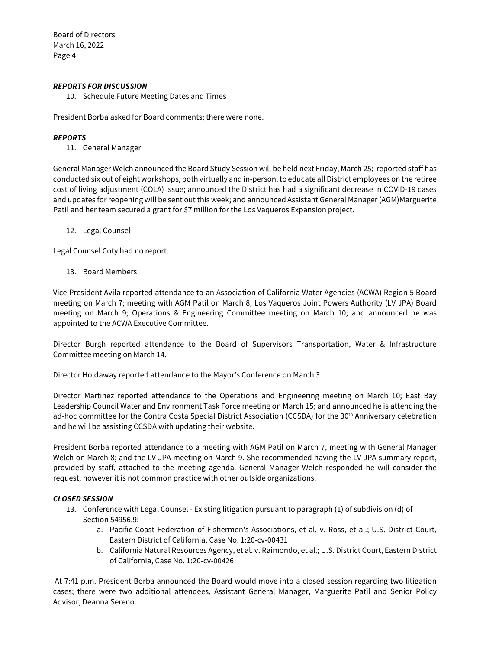Board of Directors March 16, 2022 Page 4

## *REPORTS FOR DISCUSSION*

10. Schedule Future Meeting Dates and Times

President Borba asked for Board comments; there were none.

## *REPORTS*

11. General Manager

General Manager Welch announced the Board Study Session will be held next Friday, March 25; reported staff has conducted six out of eight workshops, both virtually and in-person,to educate all District employees on the retiree cost of living adjustment (COLA) issue; announced the District has had a significant decrease in COVID-19 cases and updates for reopening will be sent out this week; and announced Assistant General Manager (AGM)Marguerite Patil and her team secured a grant for \$7 million for the Los Vaqueros Expansion project.

12. Legal Counsel

Legal Counsel Coty had no report.

13. Board Members

Vice President Avila reported attendance to an Association of California Water Agencies (ACWA) Region 5 Board meeting on March 7; meeting with AGM Patil on March 8; Los Vaqueros Joint Powers Authority (LV JPA) Board meeting on March 9; Operations & Engineering Committee meeting on March 10; and announced he was appointed to the ACWA Executive Committee.

Director Burgh reported attendance to the Board of Supervisors Transportation, Water & Infrastructure Committee meeting on March 14.

Director Holdaway reported attendance to the Mayor's Conference on March 3.

Director Martinez reported attendance to the Operations and Engineering meeting on March 10; East Bay Leadership Council Water and Environment Task Force meeting on March 15; and announced he is attending the ad-hoc committee for the Contra Costa Special District Association (CCSDA) for the 30<sup>th</sup> Anniversary celebration and he will be assisting CCSDA with updating their website.

President Borba reported attendance to a meeting with AGM Patil on March 7, meeting with General Manager Welch on March 8; and the LV JPA meeting on March 9. She recommended having the LV JPA summary report, provided by staff, attached to the meeting agenda. General Manager Welch responded he will consider the request, however it is not common practice with other outside organizations.

# *CLOSED SESSION*

- 13. Conference with Legal Counsel Existing litigation pursuant to paragraph (1) of subdivision (d) of Section 54956.9:
	- a. Pacific Coast Federation of Fishermen's Associations, et al. v. Ross, et al.; U.S. District Court, Eastern District of California, Case No. 1:20-cv-00431
	- b. California Natural Resources Agency, et al. v. Raimondo, et al.; U.S. District Court, Eastern District of California, Case No. 1:20-cv-00426

At 7:41 p.m. President Borba announced the Board would move into a closed session regarding two litigation cases; there were two additional attendees, Assistant General Manager, Marguerite Patil and Senior Policy Advisor, Deanna Sereno.